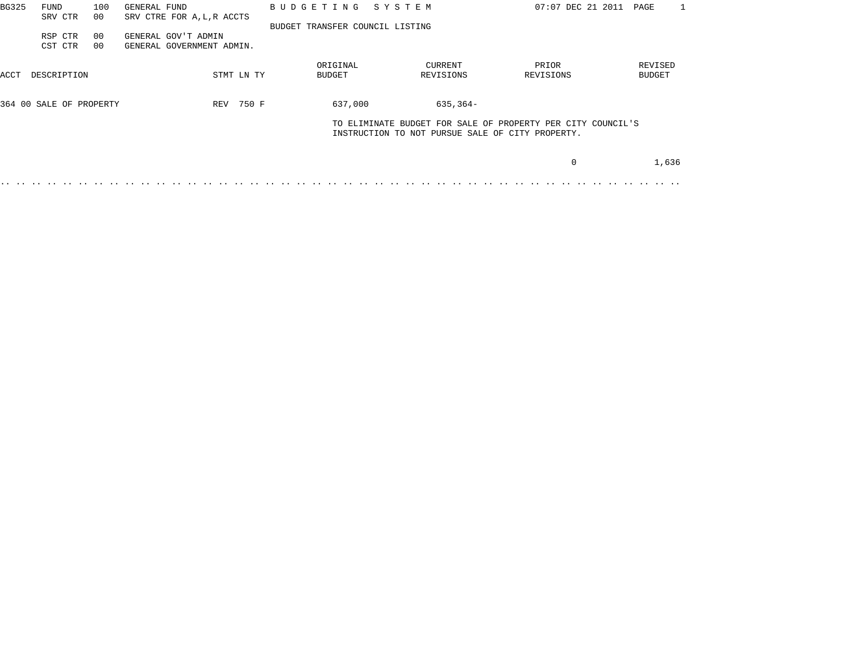| BG325 | FUND<br>SRV CTR         | 100<br>00 | GENERAL FUND<br>SRV CTRE FOR A, L, R ACCTS       |            |  | BUDGETING                       | SYSTEM |                      | 07:07 DEC 21 2011                                                                                               | PAGE                     |
|-------|-------------------------|-----------|--------------------------------------------------|------------|--|---------------------------------|--------|----------------------|-----------------------------------------------------------------------------------------------------------------|--------------------------|
|       | RSP CTR<br>CST CTR      | 00<br>00  | GENERAL GOV'T ADMIN<br>GENERAL GOVERNMENT ADMIN. |            |  | BUDGET TRANSFER COUNCIL LISTING |        |                      |                                                                                                                 |                          |
| ACCT  | DESCRIPTION             |           |                                                  | STMT LN TY |  | ORIGINAL<br>BUDGET              |        | CURRENT<br>REVISIONS | PRIOR<br>REVISIONS                                                                                              | REVISED<br><b>BUDGET</b> |
|       | 364 00 SALE OF PROPERTY |           |                                                  | REV 750 F  |  | 637,000                         |        | $635, 364 -$         |                                                                                                                 |                          |
|       |                         |           |                                                  |            |  |                                 |        |                      | TO ELIMINATE BUDGET FOR SALE OF PROPERTY PER CITY COUNCIL'S<br>INSTRUCTION TO NOT PURSUE SALE OF CITY PROPERTY. |                          |
|       |                         |           |                                                  |            |  |                                 |        |                      |                                                                                                                 | 1,636                    |
|       |                         |           |                                                  |            |  |                                 |        |                      |                                                                                                                 |                          |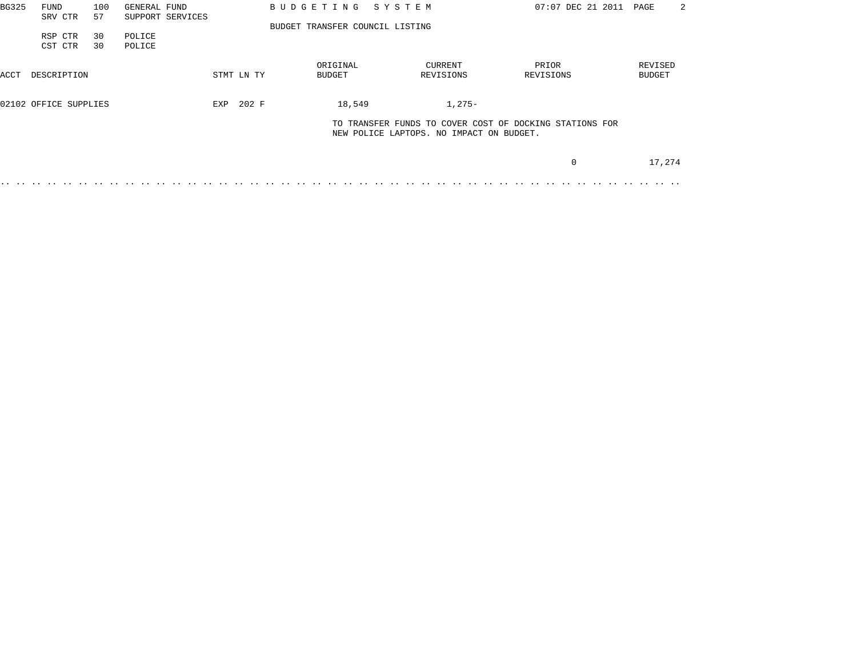| BG325 | FUND                  | 100 | GENERAL FUND     |            | BUDGETING SYSTEM                |                                          | 07:07 DEC 21 2011                                       | PAGE    | 2 |
|-------|-----------------------|-----|------------------|------------|---------------------------------|------------------------------------------|---------------------------------------------------------|---------|---|
|       | SRV CTR               | 57  | SUPPORT SERVICES |            |                                 |                                          |                                                         |         |   |
|       |                       |     |                  |            | BUDGET TRANSFER COUNCIL LISTING |                                          |                                                         |         |   |
|       | RSP CTR               | 30  | POLICE           |            |                                 |                                          |                                                         |         |   |
|       | CST CTR               | 30  | POLICE           |            |                                 |                                          |                                                         |         |   |
|       |                       |     |                  |            | ORIGINAL                        | CURRENT                                  | PRIOR                                                   | REVISED |   |
| ACCT  | DESCRIPTION           |     |                  | STMT LN TY | BUDGET                          | REVISIONS                                | REVISIONS                                               | BUDGET  |   |
|       | 02102 OFFICE SUPPLIES |     |                  | EXP 202 F  | 18,549                          | $1,275-$                                 |                                                         |         |   |
|       |                       |     |                  |            |                                 | NEW POLICE LAPTOPS. NO IMPACT ON BUDGET. | TO TRANSFER FUNDS TO COVER COST OF DOCKING STATIONS FOR |         |   |
|       |                       |     |                  |            |                                 |                                          |                                                         |         |   |
|       |                       |     |                  |            |                                 |                                          | 0                                                       | 17,274  |   |
|       |                       |     |                  |            |                                 |                                          |                                                         |         |   |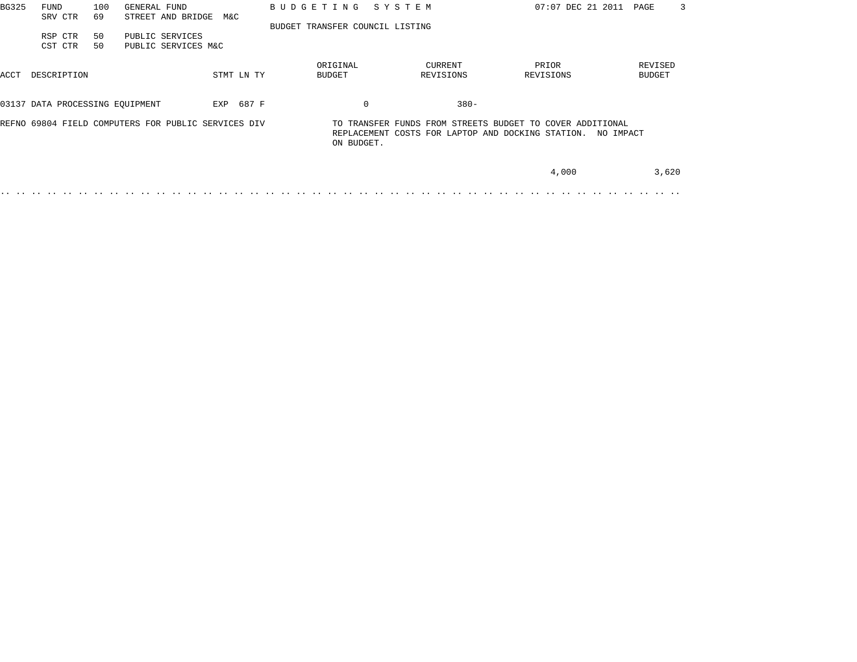| BG325 | FUND<br>SRV CTR                 | 100<br>69 | GENERAL FUND<br>STREET AND BRIDGE                   | M&C |            | BUDGETING SYSTEM                |                      |                                                                                                                | 07:07 DEC 21 2011<br>3<br>PAGE |
|-------|---------------------------------|-----------|-----------------------------------------------------|-----|------------|---------------------------------|----------------------|----------------------------------------------------------------------------------------------------------------|--------------------------------|
|       | RSP CTR<br>CST CTR              | 50<br>50  | PUBLIC SERVICES<br>PUBLIC SERVICES M&C              |     |            | BUDGET TRANSFER COUNCIL LISTING |                      |                                                                                                                |                                |
| ACCT  | DESCRIPTION                     |           |                                                     |     | STMT LN TY | ORIGINAL<br>BUDGET              | CURRENT<br>REVISIONS | PRIOR<br>REVISIONS                                                                                             | REVISED<br><b>BUDGET</b>       |
|       | 03137 DATA PROCESSING EOUIPMENT |           |                                                     |     | EXP 687 F  |                                 | 0                    | $380 -$                                                                                                        |                                |
|       |                                 |           | REFNO 69804 FIELD COMPUTERS FOR PUBLIC SERVICES DIV |     |            | ON BUDGET.                      |                      | TO TRANSFER FUNDS FROM STREETS BUDGET TO COVER ADDITIONAL<br>REPLACEMENT COSTS FOR LAPTOP AND DOCKING STATION. | NO IMPACT                      |
|       |                                 |           |                                                     |     |            |                                 |                      | 4,000                                                                                                          | 3,620                          |
|       |                                 |           |                                                     |     |            |                                 |                      |                                                                                                                |                                |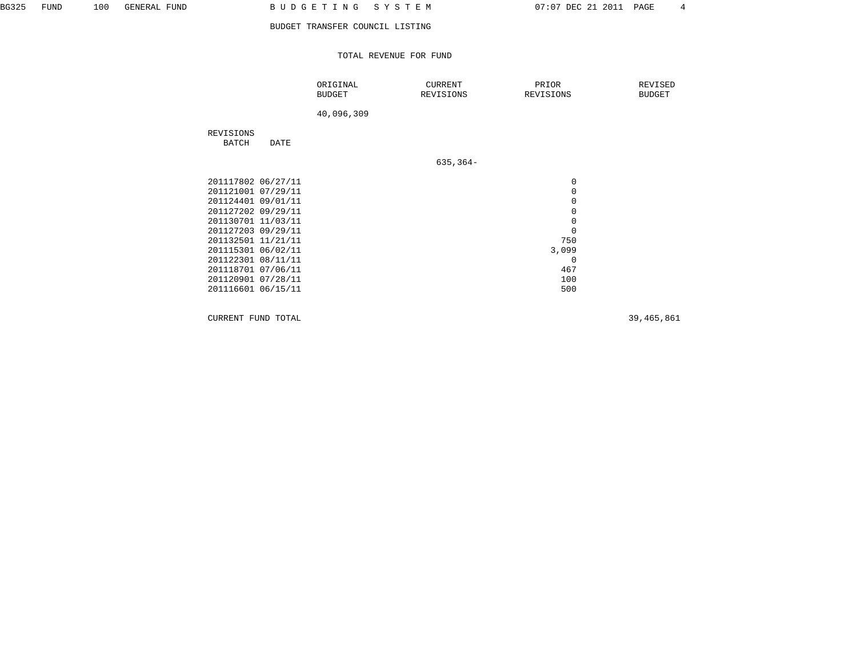TOTAL REVENUE FOR FUND

|                                                                                                                                                                                                                                                |      | ORIGINAL<br><b>BUDGET</b> | CURRENT<br>REVISIONS | PRIOR<br>REVISIONS                                                                                              | REVISED<br><b>BUDGET</b> |
|------------------------------------------------------------------------------------------------------------------------------------------------------------------------------------------------------------------------------------------------|------|---------------------------|----------------------|-----------------------------------------------------------------------------------------------------------------|--------------------------|
|                                                                                                                                                                                                                                                |      | 40,096,309                |                      |                                                                                                                 |                          |
| REVISIONS<br>BATCH                                                                                                                                                                                                                             | DATE |                           |                      |                                                                                                                 |                          |
|                                                                                                                                                                                                                                                |      |                           | $635, 364 -$         |                                                                                                                 |                          |
| 201117802 06/27/11<br>201121001 07/29/11<br>201124401 09/01/11<br>201127202 09/29/11<br>201130701 11/03/11<br>201127203 09/29/11<br>201132501 11/21/11<br>201115301 06/02/11<br>201122301 08/11/11<br>201118701 07/06/11<br>201120901 07/28/11 |      |                           |                      | 0<br>$\mathbf 0$<br>$\mathsf 0$<br>$\mathsf 0$<br>$\mathsf 0$<br>$\mathbf 0$<br>750<br>3,099<br>0<br>467<br>100 |                          |
| 201116601 06/15/11                                                                                                                                                                                                                             |      |                           |                      | 500                                                                                                             |                          |

CURRENT FUND TOTAL 39,465,861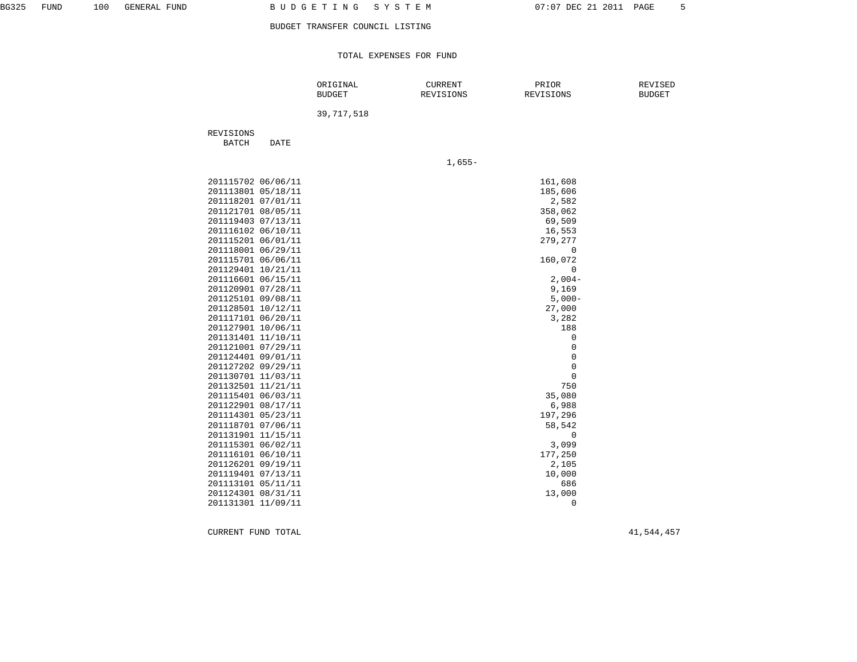TOTAL EXPENSES FOR FUND

|                    |                    | ORIGINAL<br><b>BUDGET</b> | <b>CURRENT</b><br>REVISIONS | PRIOR<br>REVISIONS  | REVISED<br><b>BUDGET</b> |
|--------------------|--------------------|---------------------------|-----------------------------|---------------------|--------------------------|
|                    |                    | 39, 717, 518              |                             |                     |                          |
| REVISIONS<br>BATCH | DATE               |                           |                             |                     |                          |
|                    |                    |                           | $1,655-$                    |                     |                          |
|                    | 201115702 06/06/11 |                           |                             | 161,608             |                          |
|                    |                    |                           |                             |                     |                          |
|                    | 201113801 05/18/11 |                           |                             | 185,606             |                          |
|                    | 201118201 07/01/11 |                           |                             | 2,582               |                          |
|                    | 201121701 08/05/11 |                           |                             | 358,062             |                          |
|                    | 201119403 07/13/11 |                           |                             | 69,509              |                          |
|                    | 201116102 06/10/11 |                           |                             | 16,553              |                          |
|                    | 201115201 06/01/11 |                           |                             | 279,277             |                          |
|                    | 201118001 06/29/11 |                           |                             | $\mathbf 0$         |                          |
|                    | 201115701 06/06/11 |                           |                             | 160,072             |                          |
|                    | 201129401 10/21/11 |                           |                             | $\mathbf 0$         |                          |
|                    | 201116601 06/15/11 |                           |                             | $2,004-$            |                          |
|                    | 201120901 07/28/11 |                           |                             | 9,169               |                          |
|                    | 201125101 09/08/11 |                           |                             | $5,000-$            |                          |
|                    | 201128501 10/12/11 |                           |                             | 27,000              |                          |
|                    | 201117101 06/20/11 |                           |                             | 3,282               |                          |
|                    | 201127901 10/06/11 |                           |                             | 188                 |                          |
|                    | 201131401 11/10/11 |                           |                             | $\mathsf 0$         |                          |
|                    | 201121001 07/29/11 |                           |                             | $\mathbb O$         |                          |
|                    | 201124401 09/01/11 |                           |                             | $\mathsf 0$         |                          |
|                    | 201127202 09/29/11 |                           |                             | $\mathsf{O}\xspace$ |                          |
|                    | 201130701 11/03/11 |                           |                             | $\mathsf 0$         |                          |
|                    | 201132501 11/21/11 |                           |                             | 750                 |                          |
|                    | 201115401 06/03/11 |                           |                             | 35,080              |                          |
|                    | 201122901 08/17/11 |                           |                             | 6,988               |                          |
|                    | 201114301 05/23/11 |                           |                             | 197,296             |                          |
|                    | 201118701 07/06/11 |                           |                             | 58,542              |                          |
|                    | 201131901 11/15/11 |                           |                             | $\mathbf 0$         |                          |
|                    | 201115301 06/02/11 |                           |                             | 3,099               |                          |
|                    | 201116101 06/10/11 |                           |                             | 177,250             |                          |
|                    | 201126201 09/19/11 |                           |                             | 2,105               |                          |
|                    | 201119401 07/13/11 |                           |                             | 10,000              |                          |
|                    | 201113101 05/11/11 |                           |                             | 686                 |                          |
|                    | 201124301 08/31/11 |                           |                             | 13,000              |                          |
|                    | 201131301 11/09/11 |                           |                             | $\Omega$            |                          |

CURRENT FUND TOTAL 41,544,457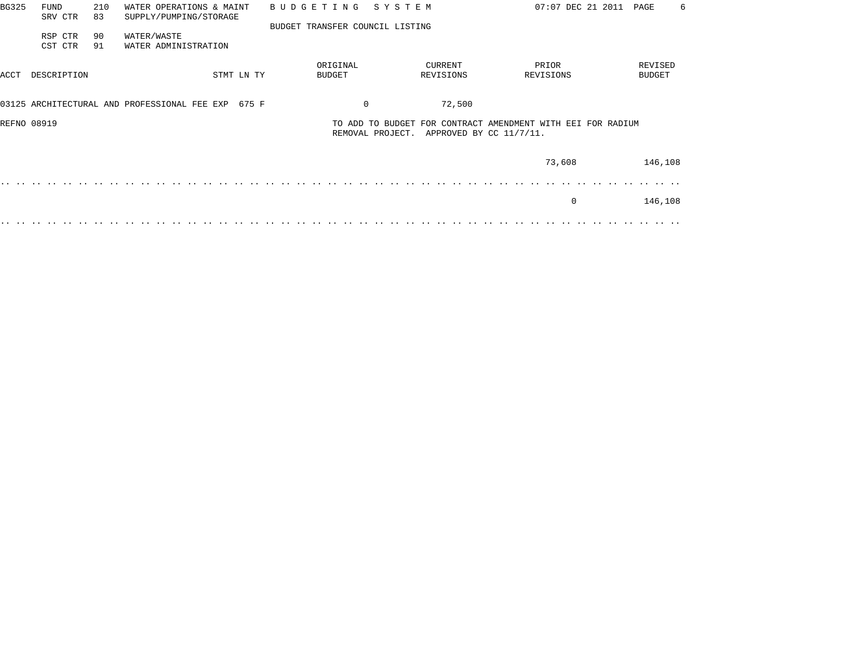| <b>BG325</b> | <b>FUND</b><br>SRV CTR | 210<br>83 | WATER OPERATIONS & MAINT<br>SUPPLY/PUMPING/STORAGE |            | <b>BUDGETING</b> |                           | SYSTEM                          |                      | 07:07 DEC 21 2011                                                                      | PAGE<br>6                |
|--------------|------------------------|-----------|----------------------------------------------------|------------|------------------|---------------------------|---------------------------------|----------------------|----------------------------------------------------------------------------------------|--------------------------|
|              |                        |           |                                                    |            |                  |                           | BUDGET TRANSFER COUNCIL LISTING |                      |                                                                                        |                          |
|              | RSP CTR<br>CST CTR     | 90<br>91  | WATER/WASTE<br>WATER ADMINISTRATION                |            |                  |                           |                                 |                      |                                                                                        |                          |
| ACCT         | DESCRIPTION            |           |                                                    | STMT LN TY |                  | ORIGINAL<br><b>BUDGET</b> |                                 | CURRENT<br>REVISIONS | PRIOR<br>REVISIONS                                                                     | REVISED<br><b>BUDGET</b> |
|              |                        |           |                                                    |            |                  |                           |                                 |                      |                                                                                        |                          |
|              |                        |           | 03125 ARCHITECTURAL AND PROFESSIONAL FEE EXP       | 675 F      |                  |                           | $\mathbf 0$                     | 72,500               |                                                                                        |                          |
| REFNO 08919  |                        |           |                                                    |            |                  |                           | REMOVAL PROJECT.                |                      | TO ADD TO BUDGET FOR CONTRACT AMENDMENT WITH EEI FOR RADIUM<br>APPROVED BY CC 11/7/11. |                          |
|              |                        |           |                                                    |            |                  |                           |                                 |                      | 73,608                                                                                 | 146,108                  |
|              |                        |           |                                                    |            |                  |                           |                                 |                      |                                                                                        |                          |
|              |                        |           |                                                    |            |                  |                           |                                 |                      | $\Omega$                                                                               | 146,108                  |
|              |                        |           |                                                    |            |                  |                           |                                 |                      |                                                                                        |                          |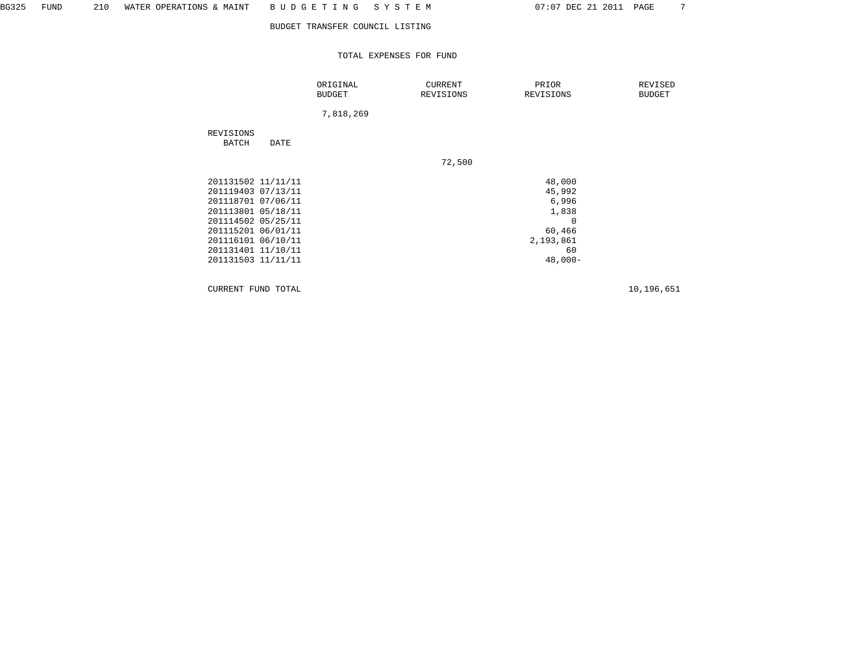TOTAL EXPENSES FOR FUND

|                                                                                                                                                                                                    |      | ORIGINAL<br><b>BUDGET</b> | <b>CURRENT</b><br>REVISIONS | PRIOR<br>REVISIONS                                                                       | REVISED<br><b>BUDGET</b> |
|----------------------------------------------------------------------------------------------------------------------------------------------------------------------------------------------------|------|---------------------------|-----------------------------|------------------------------------------------------------------------------------------|--------------------------|
|                                                                                                                                                                                                    |      | 7,818,269                 |                             |                                                                                          |                          |
| REVISIONS<br>BATCH                                                                                                                                                                                 | DATE |                           |                             |                                                                                          |                          |
|                                                                                                                                                                                                    |      |                           | 72,500                      |                                                                                          |                          |
| 201131502 11/11/11<br>201119403 07/13/11<br>201118701 07/06/11<br>201113801 05/18/11<br>201114502 05/25/11<br>201115201 06/01/11<br>201116101 06/10/11<br>201131401 11/10/11<br>201131503 11/11/11 |      |                           |                             | 48,000<br>45,992<br>6,996<br>1,838<br>$\Omega$<br>60,466<br>2,193,861<br>60<br>$48,000-$ |                          |

CURRENT FUND TOTAL 10,196,651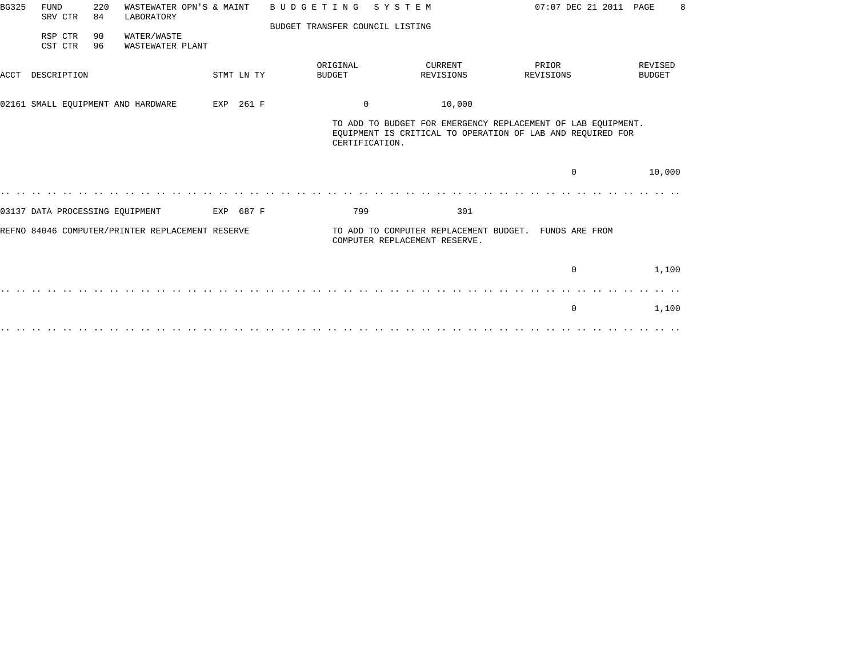| <b>BG325</b> | <b>FUND</b><br>SRV CTR          | 220<br>84 | WASTEWATER OPN'S & MAINT<br>LABORATORY           |            | <b>BUDGETING</b>                | SYSTEM                        |                                                       | 07:07 DEC 21 2011 PAGE                                                                                                     | 8                        |
|--------------|---------------------------------|-----------|--------------------------------------------------|------------|---------------------------------|-------------------------------|-------------------------------------------------------|----------------------------------------------------------------------------------------------------------------------------|--------------------------|
|              |                                 |           |                                                  |            | BUDGET TRANSFER COUNCIL LISTING |                               |                                                       |                                                                                                                            |                          |
|              | RSP CTR<br>CST CTR              | 90<br>96  | WATER/WASTE<br>WASTEWATER PLANT                  |            |                                 |                               |                                                       |                                                                                                                            |                          |
| ACCT         | DESCRIPTION                     |           |                                                  | STMT LN TY | ORIGINAL<br><b>BUDGET</b>       |                               | <b>CURRENT</b><br>REVISIONS                           | PRIOR<br>REVISIONS                                                                                                         | REVISED<br><b>BUDGET</b> |
|              |                                 |           | 02161 SMALL EQUIPMENT AND HARDWARE               | EXP 261 F  |                                 | $\Omega$                      | 10,000                                                |                                                                                                                            |                          |
|              |                                 |           |                                                  |            |                                 | CERTIFICATION.                |                                                       | TO ADD TO BUDGET FOR EMERGENCY REPLACEMENT OF LAB EQUIPMENT.<br>EQUIPMENT IS CRITICAL TO OPERATION OF LAB AND REQUIRED FOR |                          |
|              |                                 |           |                                                  |            |                                 |                               |                                                       | $\Omega$                                                                                                                   | 10,000                   |
|              |                                 |           |                                                  |            |                                 |                               |                                                       |                                                                                                                            |                          |
|              | 03137 DATA PROCESSING EQUIPMENT |           |                                                  | EXP 687 F  | 799                             |                               | 301                                                   |                                                                                                                            |                          |
|              |                                 |           | REFNO 84046 COMPUTER/PRINTER REPLACEMENT RESERVE |            |                                 | COMPUTER REPLACEMENT RESERVE. | TO ADD TO COMPUTER REPLACEMENT BUDGET. FUNDS ARE FROM |                                                                                                                            |                          |
|              |                                 |           |                                                  |            |                                 |                               |                                                       | $\mathbf 0$                                                                                                                | 1,100                    |
|              |                                 |           |                                                  |            |                                 |                               |                                                       |                                                                                                                            |                          |
|              |                                 |           |                                                  |            |                                 |                               |                                                       | 0                                                                                                                          | 1,100                    |
|              |                                 |           |                                                  |            |                                 |                               |                                                       |                                                                                                                            |                          |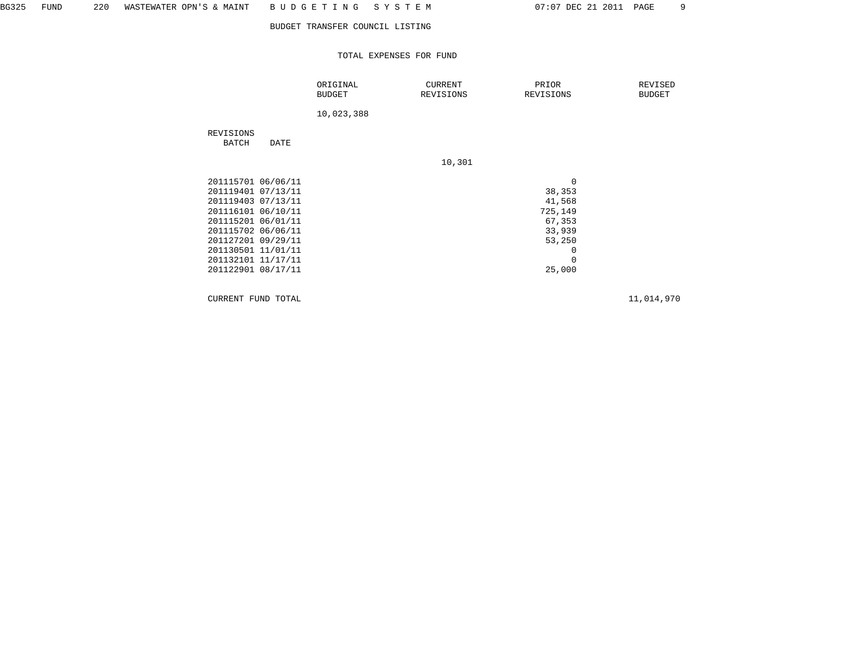TOTAL EXPENSES FOR FUND

|                                                                                                                                                                                                                          |      | ORIGINAL<br><b>BUDGET</b> | <b>CURRENT</b><br>REVISIONS | PRIOR<br>REVISIONS                                                                                  | REVISED<br><b>BUDGET</b> |
|--------------------------------------------------------------------------------------------------------------------------------------------------------------------------------------------------------------------------|------|---------------------------|-----------------------------|-----------------------------------------------------------------------------------------------------|--------------------------|
|                                                                                                                                                                                                                          |      | 10,023,388                |                             |                                                                                                     |                          |
| REVISIONS<br>BATCH                                                                                                                                                                                                       | DATE |                           |                             |                                                                                                     |                          |
|                                                                                                                                                                                                                          |      |                           | 10,301                      |                                                                                                     |                          |
| 201115701 06/06/11<br>201119401 07/13/11<br>201119403 07/13/11<br>201116101 06/10/11<br>201115201 06/01/11<br>201115702 06/06/11<br>201127201 09/29/11<br>201130501 11/01/11<br>201132101 11/17/11<br>201122901 08/17/11 |      |                           |                             | $\mathbf 0$<br>38,353<br>41,568<br>725,149<br>67,353<br>33,939<br>53,250<br>0<br>$\Omega$<br>25,000 |                          |

CURRENT FUND TOTAL 11,014,970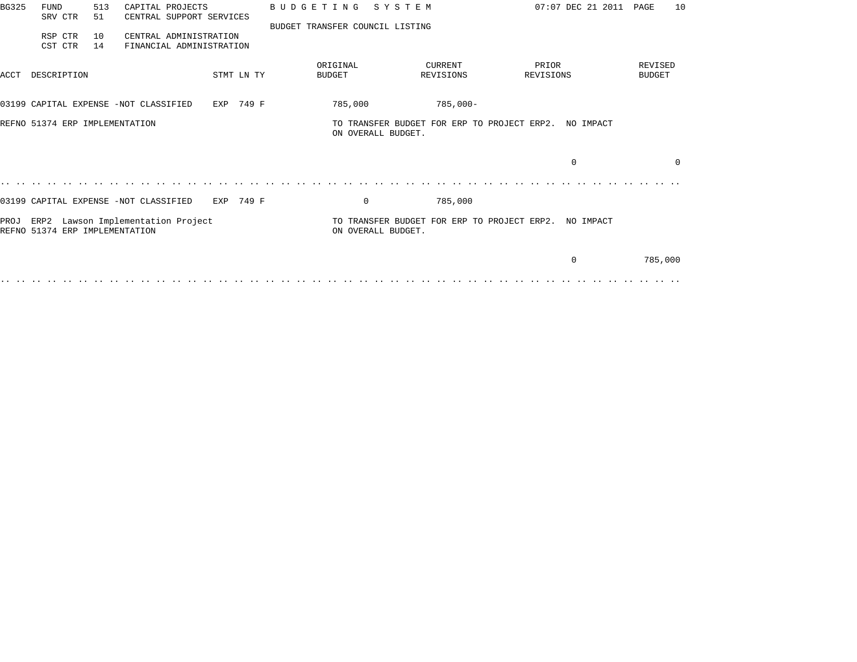| BG325 | <b>FUND</b><br>SRV CTR         | 513<br>51 | CAPITAL PROJECTS<br>CENTRAL SUPPORT SERVICES       |            |  | <b>BUDGETING</b>                | SYSTEM                                                                      |                                                       |                    | $07:07$ DEC 21 2011 | PAGE                     | 10       |
|-------|--------------------------------|-----------|----------------------------------------------------|------------|--|---------------------------------|-----------------------------------------------------------------------------|-------------------------------------------------------|--------------------|---------------------|--------------------------|----------|
|       | RSP CTR<br>CST CTR             | 10<br>14  | CENTRAL ADMINISTRATION<br>FINANCIAL ADMINISTRATION |            |  | BUDGET TRANSFER COUNCIL LISTING |                                                                             |                                                       |                    |                     |                          |          |
| ACCT  | DESCRIPTION                    |           |                                                    | STMT LN TY |  | ORIGINAL<br><b>BUDGET</b>       |                                                                             | CURRENT<br>REVISIONS                                  | PRIOR<br>REVISIONS |                     | REVISED<br><b>BUDGET</b> |          |
|       |                                |           | 03199 CAPITAL EXPENSE -NOT CLASSIFIED              | EXP 749 F  |  | 785,000                         |                                                                             | $785,000-$                                            |                    |                     |                          |          |
|       | REFNO 51374 ERP IMPLEMENTATION |           |                                                    |            |  |                                 | TO TRANSFER BUDGET FOR ERP TO PROJECT ERP2. NO IMPACT<br>ON OVERALL BUDGET. |                                                       |                    |                     |                          |          |
|       |                                |           |                                                    |            |  |                                 |                                                                             |                                                       | $\Omega$           |                     |                          | $\Omega$ |
|       |                                |           |                                                    |            |  |                                 |                                                                             |                                                       |                    |                     |                          |          |
|       |                                |           | 03199 CAPITAL EXPENSE -NOT CLASSIFIED              | EXP 749 F  |  |                                 | $\mathbf 0$                                                                 | 785,000                                               |                    |                     |                          |          |
|       | REFNO 51374 ERP IMPLEMENTATION |           | PROJ ERP2 Lawson Implementation Project            |            |  |                                 | ON OVERALL BUDGET.                                                          | TO TRANSFER BUDGET FOR ERP TO PROJECT ERP2. NO IMPACT |                    |                     |                          |          |
|       |                                |           |                                                    |            |  |                                 |                                                                             |                                                       | $\Omega$           |                     | 785,000                  |          |
|       |                                |           |                                                    |            |  |                                 |                                                                             |                                                       |                    |                     |                          |          |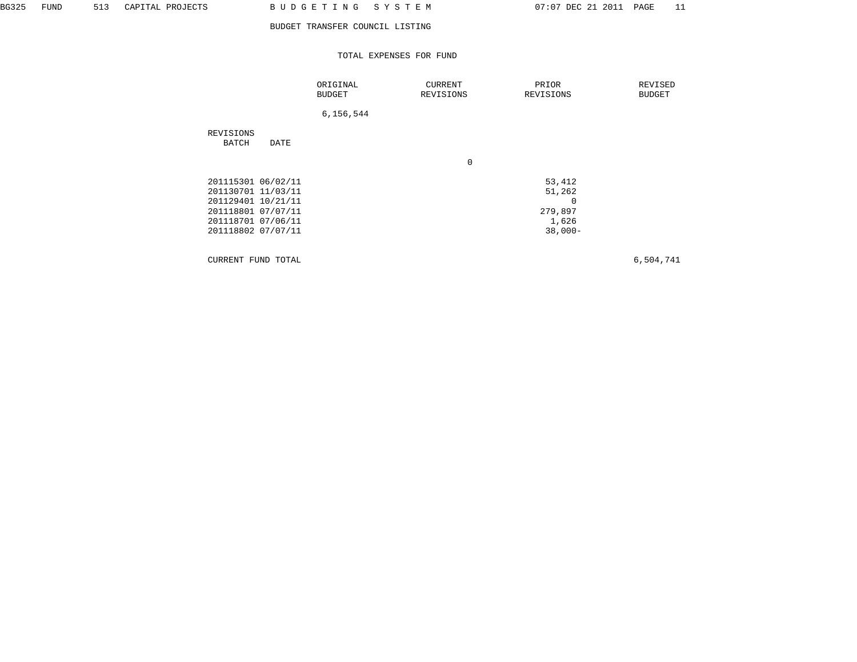## TOTAL EXPENSES FOR FUND

|                                                                                                                                  | ORIGINAL<br><b>BUDGET</b> | CURRENT<br>REVISIONS | PRIOR<br>REVISIONS                                               | REVISED<br>BUDGET |
|----------------------------------------------------------------------------------------------------------------------------------|---------------------------|----------------------|------------------------------------------------------------------|-------------------|
|                                                                                                                                  | 6,156,544                 |                      |                                                                  |                   |
| REVISIONS<br>BATCH<br>DATE                                                                                                       |                           |                      |                                                                  |                   |
|                                                                                                                                  |                           | 0                    |                                                                  |                   |
| 201115301 06/02/11<br>201130701 11/03/11<br>201129401 10/21/11<br>201118801 07/07/11<br>201118701 07/06/11<br>201118802 07/07/11 |                           |                      | 53,412<br>51,262<br>$\mathbf 0$<br>279,897<br>1,626<br>$38,000-$ |                   |
|                                                                                                                                  |                           |                      |                                                                  |                   |

CURRENT FUND TOTAL 6,504,741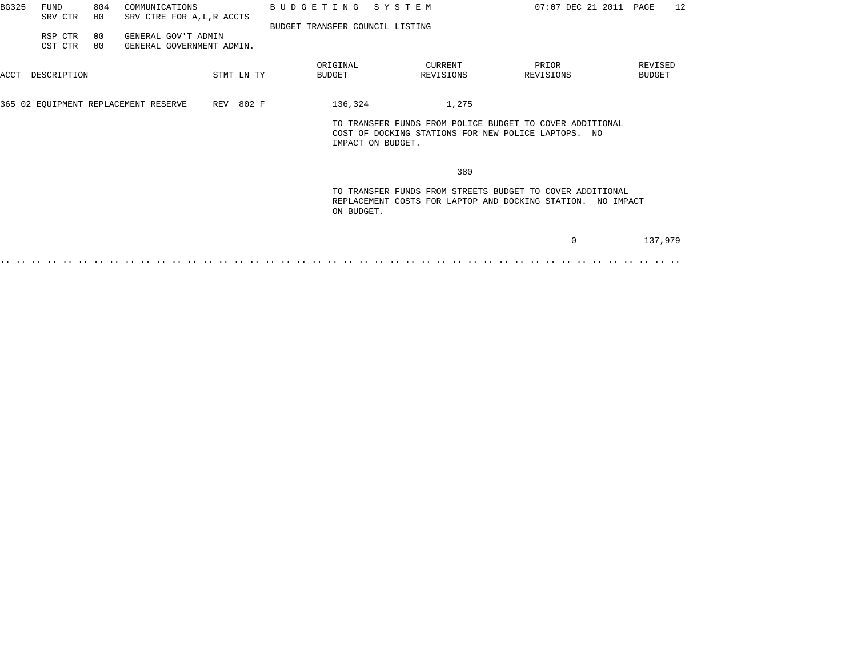| BG325 | <b>FUND</b><br>SRV CTR | 804<br>00 | COMMUNICATIONS<br>SRV CTRE FOR A, L, R ACCTS     |            | BUDGETING SYSTEM                |                                                                          | 07:07 DEC 21 2011 PAGE                                                                                                   | 12                |
|-------|------------------------|-----------|--------------------------------------------------|------------|---------------------------------|--------------------------------------------------------------------------|--------------------------------------------------------------------------------------------------------------------------|-------------------|
|       | RSP CTR<br>CST CTR     | 00<br>00  | GENERAL GOV'T ADMIN<br>GENERAL GOVERNMENT ADMIN. |            | BUDGET TRANSFER COUNCIL LISTING |                                                                          |                                                                                                                          |                   |
| ACCT  | DESCRIPTION            |           |                                                  | STMT LN TY | ORIGINAL<br><b>BUDGET</b>       | CURRENT<br>REVISIONS                                                     | PRIOR<br>REVISIONS                                                                                                       | REVISED<br>BUDGET |
|       |                        |           | 365 02 EQUIPMENT REPLACEMENT RESERVE             | REV 802 F  | 136,324                         | 1,275                                                                    |                                                                                                                          |                   |
|       |                        |           |                                                  |            |                                 | COST OF DOCKING STATIONS FOR NEW POLICE LAPTOPS. NO<br>IMPACT ON BUDGET. | TO TRANSFER FUNDS FROM POLICE BUDGET TO COVER ADDITIONAL                                                                 |                   |
|       |                        |           |                                                  |            |                                 | 380                                                                      |                                                                                                                          |                   |
|       |                        |           |                                                  |            | ON BUDGET.                      |                                                                          | TO TRANSFER FUNDS FROM STREETS BUDGET TO COVER ADDITIONAL<br>REPLACEMENT COSTS FOR LAPTOP AND DOCKING STATION. NO IMPACT |                   |
|       |                        |           |                                                  |            |                                 |                                                                          | 0                                                                                                                        | 137,979           |

.. .. .. .. .. .. .. .. .. .. .. .. .. .. .. .. .. .. .. .. .. .. .. .. .. .. .. .. .. .. .. .. .. .. .. .. .. .. .. .. .. .. .. ..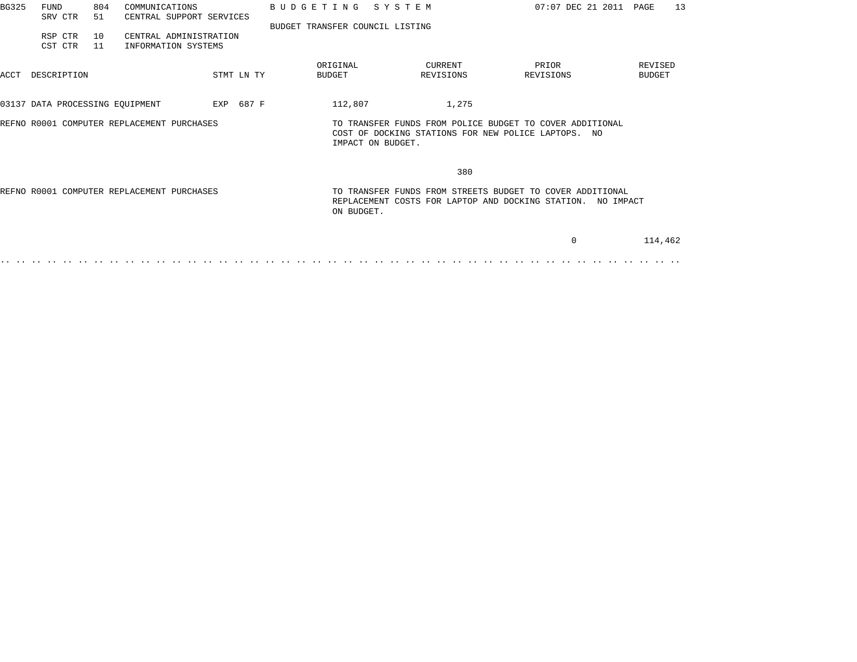| BG325                                      | <b>FUND</b><br>SRV CTR                     | 804<br>51 | COMMUNICATIONS<br>CENTRAL SUPPORT SERVICES    |            |            | BUDGETING SYSTEM                                                                                                         |                      | 07:07 DEC 21 2011 PAGE                                                                                          |                          | 13 |
|--------------------------------------------|--------------------------------------------|-----------|-----------------------------------------------|------------|------------|--------------------------------------------------------------------------------------------------------------------------|----------------------|-----------------------------------------------------------------------------------------------------------------|--------------------------|----|
|                                            | RSP CTR<br>CST CTR                         | 10<br>11  | CENTRAL ADMINISTRATION<br>INFORMATION SYSTEMS |            |            | BUDGET TRANSFER COUNCIL LISTING                                                                                          |                      |                                                                                                                 |                          |    |
| ACCT                                       | DESCRIPTION                                |           |                                               |            | STMT LN TY | ORIGINAL<br>BUDGET                                                                                                       | CURRENT<br>REVISIONS | PRIOR<br>REVISIONS                                                                                              | REVISED<br><b>BUDGET</b> |    |
|                                            | 03137 DATA PROCESSING EQUIPMENT            |           | EXP 687 F                                     |            |            | 112,807                                                                                                                  | 1,275                |                                                                                                                 |                          |    |
| REFNO R0001 COMPUTER REPLACEMENT PURCHASES |                                            |           |                                               |            |            |                                                                                                                          | IMPACT ON BUDGET.    | TO TRANSFER FUNDS FROM POLICE BUDGET TO COVER ADDITIONAL<br>COST OF DOCKING STATIONS FOR NEW POLICE LAPTOPS. NO |                          |    |
|                                            |                                            |           |                                               |            |            |                                                                                                                          | 380                  |                                                                                                                 |                          |    |
|                                            | REFNO R0001 COMPUTER REPLACEMENT PURCHASES |           |                                               | ON BUDGET. |            | TO TRANSFER FUNDS FROM STREETS BUDGET TO COVER ADDITIONAL<br>REPLACEMENT COSTS FOR LAPTOP AND DOCKING STATION. NO IMPACT |                      |                                                                                                                 |                          |    |
|                                            |                                            |           |                                               |            |            |                                                                                                                          |                      | $\Omega$                                                                                                        | 114,462                  |    |
|                                            |                                            |           |                                               |            |            |                                                                                                                          |                      |                                                                                                                 |                          |    |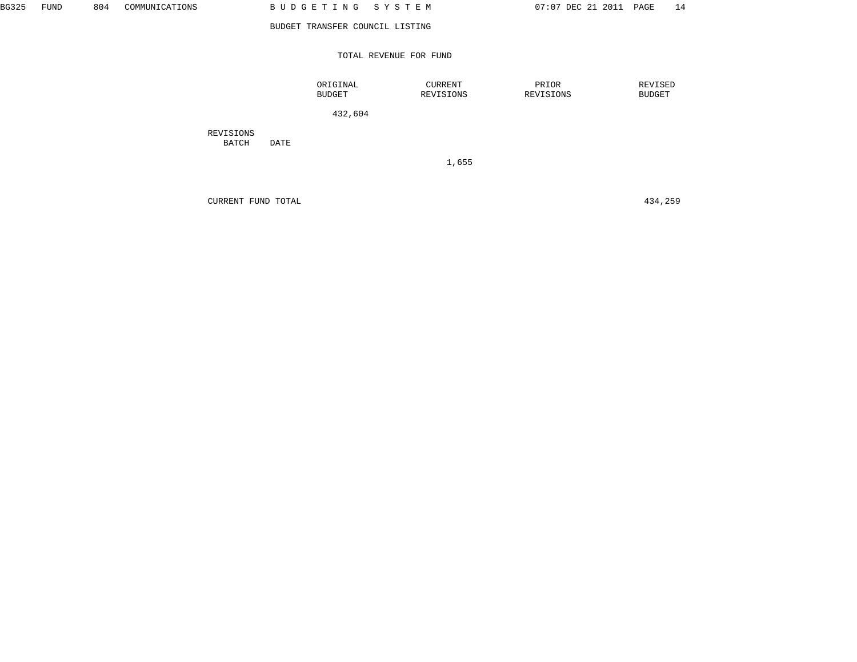## TOTAL REVENUE FOR FUND

 ORIGINAL CURRENT PRIOR REVISED BUDGET REVISIONS REVISIONS REVISIONS BUDGET

432,604

 REVISIONS BATCH DATE

1,655

CURRENT FUND TOTAL 434,259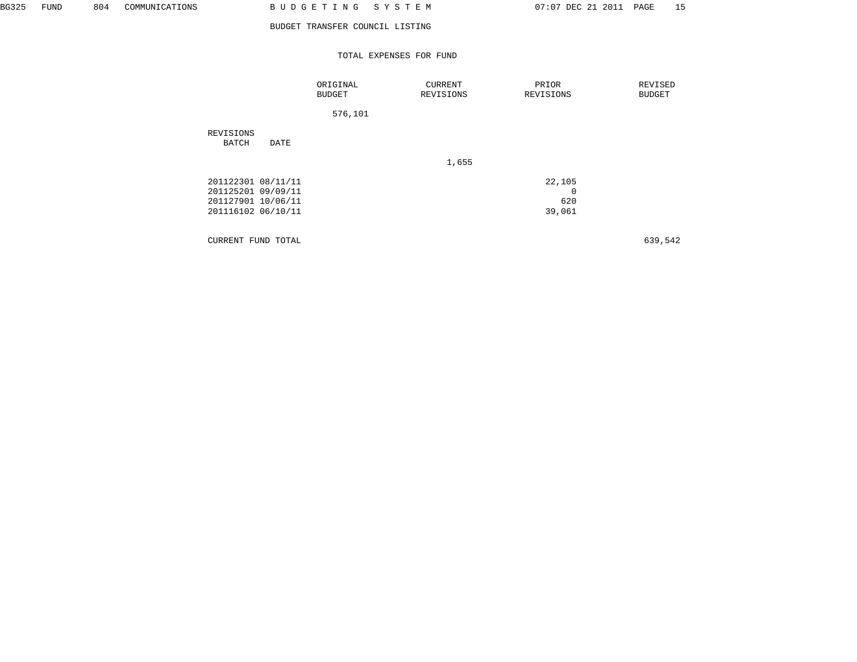## TOTAL EXPENSES FOR FUND

|                                                                                      |      | ORIGINAL<br><b>BUDGET</b> | CURRENT<br>REVISIONS | PRIOR<br>REVISIONS                     | REVISED<br><b>BUDGET</b> |
|--------------------------------------------------------------------------------------|------|---------------------------|----------------------|----------------------------------------|--------------------------|
|                                                                                      |      | 576,101                   |                      |                                        |                          |
| REVISIONS<br>BATCH                                                                   | DATE |                           |                      |                                        |                          |
|                                                                                      |      |                           | 1,655                |                                        |                          |
| 201122301 08/11/11<br>201125201 09/09/11<br>201127901 10/06/11<br>201116102 06/10/11 |      |                           |                      | 22,105<br>$\mathbf 0$<br>620<br>39,061 |                          |

CURRENT FUND TOTAL 639,542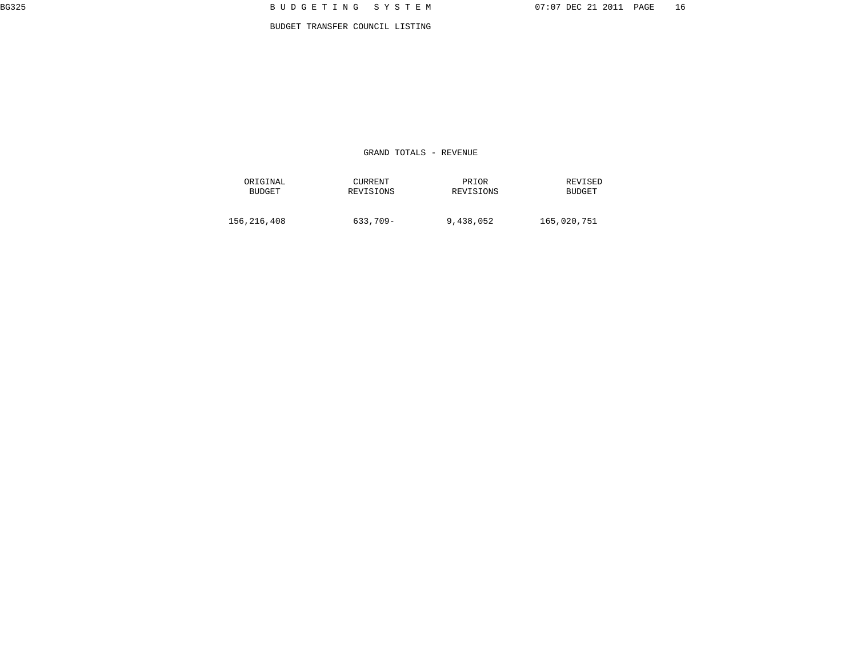GRAND TOTALS - REVENUE

| ORIGINAL      | <b>CURRENT</b> | PRIOR     | REVISED       |
|---------------|----------------|-----------|---------------|
| <b>BUDGET</b> | REVISIONS      | REVISIONS | <b>BUDGET</b> |
| 156,216,408   | 633,709-       | 9,438,052 |               |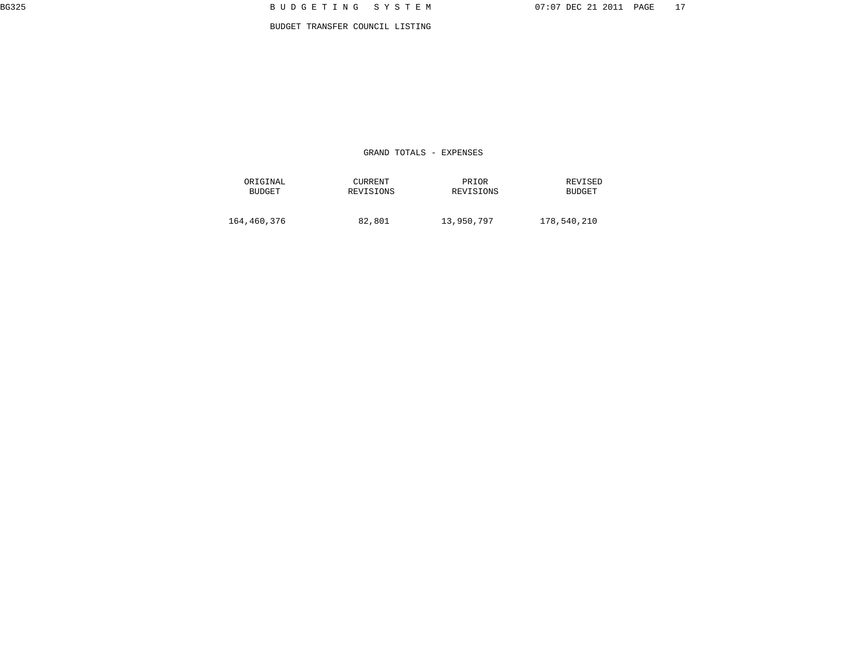GRAND TOTALS - EXPENSES

| ORIGINAL    | <b>CURRENT</b> | PRIOR      | REVISED       |
|-------------|----------------|------------|---------------|
| BUDGET      | REVISIONS      | REVISIONS  | <b>BUDGET</b> |
| 164,460,376 | 82,801         | 13,950,797 |               |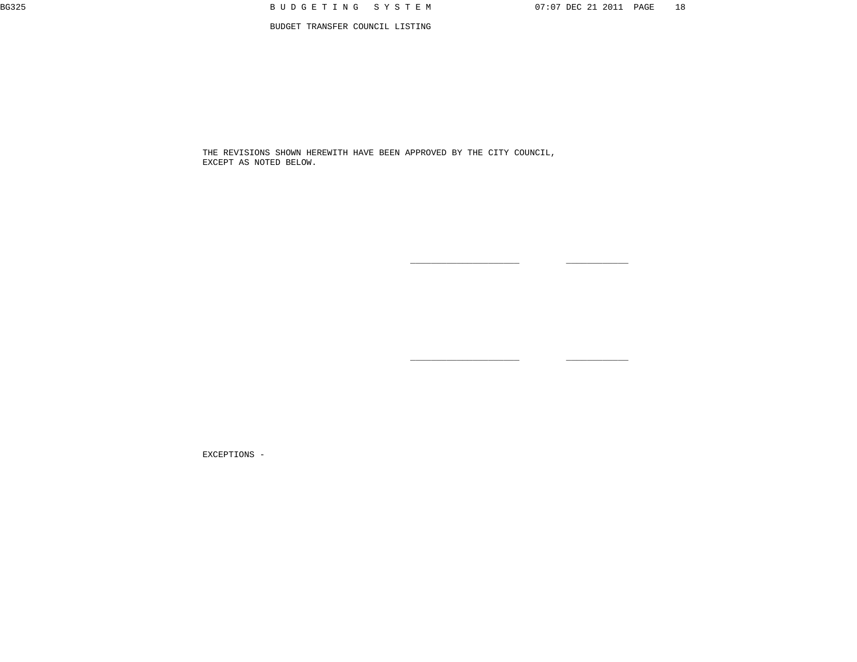THE REVISIONS SHOWN HEREWITH HAVE BEEN APPROVED BY THE CITY COUNCIL, EXCEPT AS NOTED BELOW.

 $\_$ 

 $\_$ 

EXCEPTIONS -